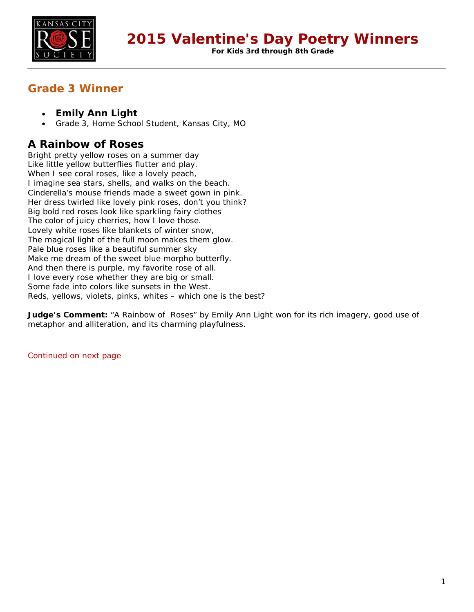

**For Kids 3rd through 8th Grade**

## **Grade 3 Winner**

- **Emily Ann Light**
- Grade 3, Home School Student, Kansas City, MO

### **A Rainbow of Roses**

Bright pretty yellow roses on a summer day Like little yellow butterflies flutter and play. When I see coral roses, like a lovely peach, I imagine sea stars, shells, and walks on the beach. Cinderella's mouse friends made a sweet gown in pink. Her dress twirled like lovely pink roses, don't you think? Big bold red roses look like sparkling fairy clothes The color of juicy cherries, how I love those. Lovely white roses like blankets of winter snow, The magical light of the full moon makes them glow. Pale blue roses like a beautiful summer sky Make me dream of the sweet blue morpho butterfly. And then there is purple, my favorite rose of all. I love every rose whether they are big or small. Some fade into colors like sunsets in the West. Reds, yellows, violets, pinks, whites – which one is the best?

**Judge's Comment:** "A Rainbow of Roses" by Emily Ann Light won for its rich imagery, good use of metaphor and alliteration, and its charming playfulness.

Continued on next page